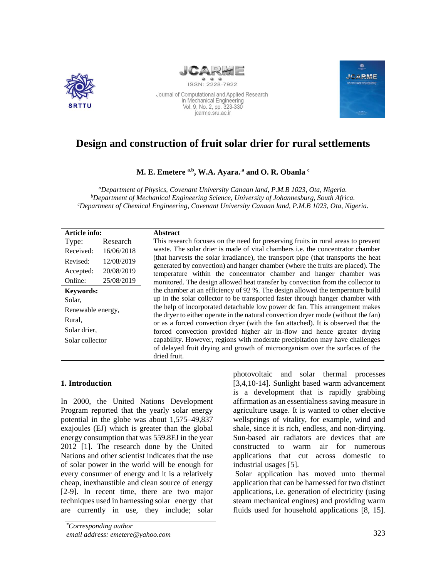



Journal of Computational and Applied Research in Mechanical Engineering Vol. 9, No. 2, pp. 323-330 jcarme.sru.ac.ir



# **Design and construction of fruit solar drier for rural settlements**

**M. E. Emetere a,b, W.A. Ayara..a and O. R. Obanla <sup>c</sup>**

*<sup>a</sup>Department of Physics, Covenant University Canaan land, P.M.B 1023, Ota, Nigeria. <sup>b</sup>Department of Mechanical Engineering Science, University of Johannesburg, South Africa. <sup>c</sup>Department of Chemical Engineering, Covenant University Canaan land, P.M.B 1023, Ota, Nigeria.* 

| Article info:     |            | <b>Abstract</b>                                                                                                                                                                                                                         |
|-------------------|------------|-----------------------------------------------------------------------------------------------------------------------------------------------------------------------------------------------------------------------------------------|
| Type:             | Research   | This research focuses on the need for preserving fruits in rural areas to prevent                                                                                                                                                       |
| Received:         | 16/06/2018 | waste. The solar drier is made of vital chambers <i>i.e.</i> the concentrator chamber                                                                                                                                                   |
| Revised:          | 12/08/2019 | (that harvests the solar irradiance), the transport pipe (that transports the heat                                                                                                                                                      |
| Accepted:         | 20/08/2019 | generated by convection) and hanger chamber (where the fruits are placed). The<br>temperature within the concentrator chamber and hanger chamber was<br>monitored. The design allowed heat transfer by convection from the collector to |
| Online:           | 25/08/2019 |                                                                                                                                                                                                                                         |
| Keywords:         |            | the chamber at an efficiency of 92 %. The design allowed the temperature build                                                                                                                                                          |
| Solar.            |            | up in the solar collector to be transported faster through hanger chamber with                                                                                                                                                          |
| Renewable energy, |            | the help of incorporated detachable low power dc fan. This arrangement makes                                                                                                                                                            |
| Rural,            |            | the dryer to either operate in the natural convection dryer mode (without the fan)                                                                                                                                                      |
| Solar drier,      |            | or as a forced convection dryer (with the fan attached). It is observed that the<br>forced convection provided higher air in-flow and hence greater drying                                                                              |
| Solar collector   |            | capability. However, regions with moderate precipitation may have challenges                                                                                                                                                            |
|                   |            | of delayed fruit drying and growth of microorganism over the surfaces of the                                                                                                                                                            |
|                   |            | dried fruit.                                                                                                                                                                                                                            |

### **1. Introduction**

In 2000, the United Nations Development Program reported that the yearly solar energy potential in the globe was about 1,575–49,837 exajoules (EJ) which is greater than the global energy consumption that was 559.8EJ in the year 2012 [1]. The research done by the United Nations and other scientist indicates that the use of solar power in the world will be enough for every consumer of energy and it is a relatively cheap, inexhaustible and clean source of energy [2-9]. In recent time, there are two major techniques used in harnessing solar energy that are currently in use, they include; solar

photovoltaic and solar thermal processes [3,4,10-14]. Sunlight based warm advancement is a development that is rapidly grabbing affirmation as an essentialness saving measure in agriculture usage. It is wanted to other elective wellsprings of vitality, for example, wind and shale, since it is rich, endless, and non-dirtying. Sun-based air radiators are devices that are constructed to warm air for numerous applications that cut across domestic to industrial usages [5].

Solar application has moved unto thermal application that can be harnessed for two distinct applications, i.e. generation of electricity (using steam mechanical engines) and providing warm fluids used for household applications [8, 15].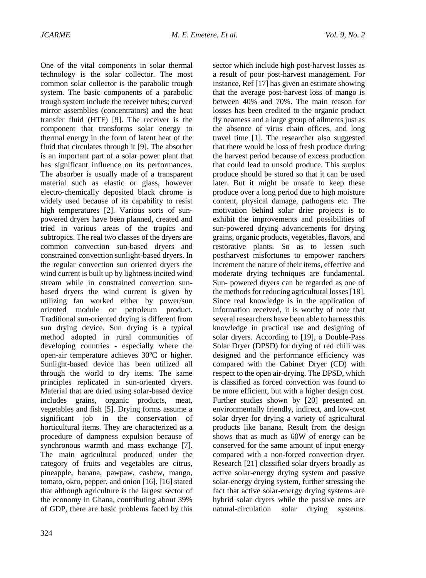One of the vital components in solar thermal technology is the solar collector. The most common solar collector is the parabolic trough system. The basic components of a parabolic trough system include the receiver tubes; curved mirror assemblies (concentrators) and the heat transfer fluid (HTF) [9]. The receiver is the component that transforms solar energy to thermal energy in the form of latent heat of the fluid that circulates through it [9]. The absorber is an important part of a solar power plant that has significant influence on its performances. The absorber is usually made of a transparent material such as elastic or glass, however electro-chemically deposited black chrome is widely used because of its capability to resist high temperatures [2]. Various sorts of sunpowered dryers have been planned, created and tried in various areas of the tropics and subtropics. The real two classes of the dryers are common convection sun-based dryers and constrained convection sunlight-based dryers. In the regular convection sun oriented dryers the wind current is built up by lightness incited wind stream while in constrained convection sunbased dryers the wind current is given by utilizing fan worked either by power/sun oriented module or petroleum product. Traditional sun-oriented drying is different from sun drying device. Sun drying is a typical method adopted in rural communities of developing countries - especially where the open-air temperature achieves 30°C or higher. Sunlight-based device has been utilized all through the world to dry items. The same principles replicated in sun-oriented dryers. Material that are dried using solar-based device includes grains, organic products, meat, vegetables and fish [5]. Drying forms assume a significant job in the conservation of horticultural items. They are characterized as a procedure of dampness expulsion because of synchronous warmth and mass exchange [7]. The main agricultural produced under the category of fruits and vegetables are citrus, pineapple, banana, pawpaw, cashew, mango, tomato, okro, pepper, and onion [16]. [16] stated that although agriculture is the largest sector of the economy in Ghana, contributing about 39% of GDP, there are basic problems faced by this

sector which include high post-harvest losses as a result of poor post-harvest management. For instance, Ref [17] has given an estimate showing that the average post-harvest loss of mango is between 40% and 70%. The main reason for losses has been credited to the organic product fly nearness and a large group of ailments just as the absence of virus chain offices, and long travel time [1]. The researcher also suggested that there would be loss of fresh produce during the harvest period because of excess production that could lead to unsold produce. This surplus produce should be stored so that it can be used later. But it might be unsafe to keep these produce over a long period due to high moisture content, physical damage, pathogens etc. The motivation behind solar drier projects is to exhibit the improvements and possibilities of sun-powered drying advancements for drying grains, organic products, vegetables, flavors, and restorative plants. So as to lessen such postharvest misfortunes to empower ranchers increment the nature of their items, effective and moderate drying techniques are fundamental. Sun- powered dryers can be regarded as one of the methods for reducing agricultural losses [18]. Since real knowledge is in the application of information received, it is worthy of note that several researchers have been able to harness this knowledge in practical use and designing of solar dryers. According to [19], a Double-Pass Solar Dryer (DPSD) for drying of red chili was designed and the performance efficiency was compared with the Cabinet Dryer (CD) with respect to the open air-drying. The DPSD, which is classified as forced convection was found to be more efficient, but with a higher design cost. Further studies shown by [20] presented an environmentally friendly, indirect, and low-cost solar dryer for drying a variety of agricultural products like banana. Result from the design shows that as much as 60W of energy can be conserved for the same amount of input energy compared with a non-forced convection dryer. Research [21] classified solar dryers broadly as active solar-energy drying system and passive solar-energy drying system, further stressing the fact that active solar-energy drying systems are hybrid solar dryers while the passive ones are natural-circulation solar drying systems.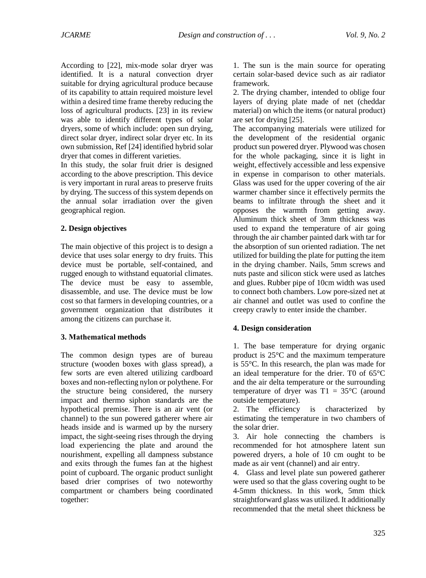According to [22], mix-mode solar dryer was identified. It is a natural convection dryer suitable for drying agricultural produce because of its capability to attain required moisture level within a desired time frame thereby reducing the loss of agricultural products. [23] in its review was able to identify different types of solar dryers, some of which include: open sun drying, direct solar dryer, indirect solar dryer etc. In its own submission, Ref [24] identified hybrid solar dryer that comes in different varieties.

In this study, the solar fruit drier is designed according to the above prescription. This device is very important in rural areas to preserve fruits by drying. The success of this system depends on the annual solar irradiation over the given geographical region.

## **2. Design objectives**

The main objective of this project is to design a device that uses solar energy to dry fruits. This device must be portable, self-contained, and rugged enough to withstand equatorial climates. The device must be easy to assemble, disassemble, and use. The device must be low cost so that farmers in developing countries, or a government organization that distributes it among the citizens can purchase it.

### **3. Mathematical methods**

The common design types are of bureau structure (wooden boxes with glass spread), a few sorts are even altered utilizing cardboard boxes and non-reflecting nylon or polythene. For the structure being considered, the nursery impact and thermo siphon standards are the hypothetical premise. There is an air vent (or channel) to the sun powered gatherer where air heads inside and is warmed up by the nursery impact, the sight-seeing rises through the drying load experiencing the plate and around the nourishment, expelling all dampness substance and exits through the fumes fan at the highest point of cupboard. The organic product sunlight based drier comprises of two noteworthy compartment or chambers being coordinated together:

1. The sun is the main source for operating certain solar-based device such as air radiator framework.

2. The drying chamber, intended to oblige four layers of drying plate made of net (cheddar material) on which the items (or natural product) are set for drying [25].

The accompanying materials were utilized for the development of the residential organic product sun powered dryer. Plywood was chosen for the whole packaging, since it is light in weight, effectively accessible and less expensive in expense in comparison to other materials. Glass was used for the upper covering of the air warmer chamber since it effectively permits the beams to infiltrate through the sheet and it opposes the warmth from getting away. Aluminum thick sheet of 3mm thickness was used to expand the temperature of air going through the air chamber painted dark with tar for the absorption of sun oriented radiation. The net utilized for building the plate for putting the item in the drying chamber. Nails, 5mm screws and nuts paste and silicon stick were used as latches and glues. Rubber pipe of 10cm width was used to connect both chambers. Low pore-sized net at air channel and outlet was used to confine the creepy crawly to enter inside the chamber.

# **4. Design consideration**

1. The base temperature for drying organic product is 25°C and the maximum temperature is 55°C. In this research, the plan was made for an ideal temperature for the drier. T0 of 65°C and the air delta temperature or the surrounding temperature of dryer was  $T1 = 35^{\circ}$ C (around outside temperature).

2. The efficiency is characterized by estimating the temperature in two chambers of the solar drier.

3. Air hole connecting the chambers is recommended for hot atmosphere latent sun powered dryers, a hole of 10 cm ought to be made as air vent (channel) and air entry.

4. Glass and level plate sun powered gatherer were used so that the glass covering ought to be 4-5mm thickness. In this work, 5mm thick straightforward glass was utilized. It additionally recommended that the metal sheet thickness be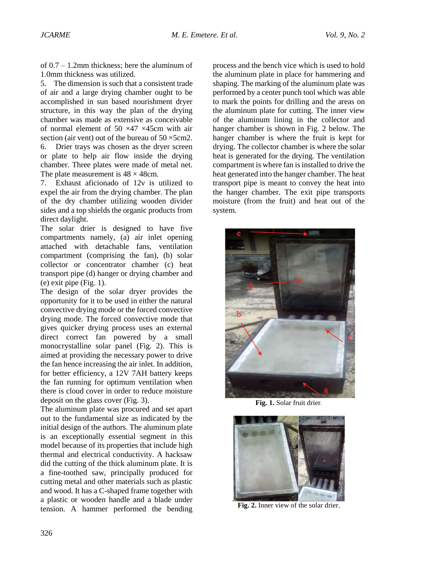of 0.7 – 1.2mm thickness; here the aluminum of 1.0mm thickness was utilized.

5. The dimension is such that a consistent trade of air and a large drying chamber ought to be accomplished in sun based nourishment dryer structure, in this way the plan of the drying chamber was made as extensive as conceivable of normal element of 50  $\times$ 47  $\times$ 45cm with air section (air vent) out of the bureau of  $50 \times 5$ cm2. 6. Drier trays was chosen as the dryer screen or plate to help air flow inside the drying chamber. Three plates were made of metal net. The plate measurement is  $48 \times 48$ cm.

7. Exhaust aficionado of 12v is utilized to expel the air from the drying chamber. The plan of the dry chamber utilizing wooden divider sides and a top shields the organic products from direct daylight.

The solar drier is designed to have five compartments namely, (a) air inlet opening attached with detachable fans, ventilation compartment (comprising the fan), (b) solar collector or concentrator chamber (c) heat transport pipe (d) hanger or drying chamber and (e) exit pipe (Fig. 1).

The design of the solar dryer provides the opportunity for it to be used in either the natural convective drying mode or the forced convective drying mode. The forced convective mode that gives quicker drying process uses an external direct correct fan powered by a small monocrystalline solar panel (Fig. 2). This is aimed at providing the necessary power to drive the fan hence increasing the air inlet. In addition, for better efficiency, a 12V 7AH battery keeps the fan running for optimum ventilation when there is cloud cover in order to reduce moisture deposit on the glass cover (Fig. 3).

The aluminum plate was procured and set apart out to the fundamental size as indicated by the initial design of the authors. The aluminum plate is an exceptionally essential segment in this model because of its properties that include high thermal and electrical conductivity. A hacksaw did the cutting of the thick aluminum plate. It is a fine-toothed saw, principally produced for cutting metal and other materials such as plastic and wood. It has a C-shaped frame together with a plastic or wooden handle and a blade under tension. A hammer performed the bending

process and the bench vice which is used to hold the aluminum plate in place for hammering and shaping. The marking of the aluminum plate was performed by a center punch tool which was able to mark the points for drilling and the areas on the aluminum plate for cutting. The inner view of the aluminum lining in the collector and hanger chamber is shown in Fig. 2 below. The hanger chamber is where the fruit is kept for drying. The collector chamber is where the solar heat is generated for the drying. The ventilation compartment is where fan is installed to drive the heat generated into the hanger chamber. The heat transport pipe is meant to convey the heat into the hanger chamber. The exit pipe transports moisture (from the fruit) and heat out of the system.



**Fig. 1.** Solar fruit drier.



**Fig. 2.** Inner view of the solar drier.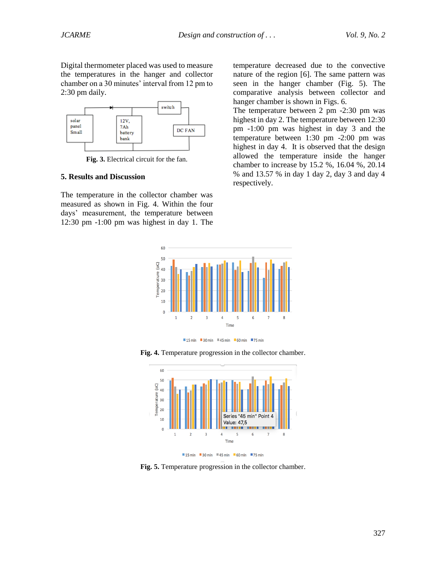Digital thermometer placed was used to measure the temperatures in the hanger and collector chamber on a 30 minutes' interval from 12 pm to 2:30 pm daily.



**Fig. 3.** Electrical circuit for the fan.

#### **5. Results and Discussion**

The temperature in the collector chamber was measured as shown in Fig. 4. Within the four days' measurement, the temperature between 12:30 pm -1:00 pm was highest in day 1. The

temperature decreased due to the convective nature of the region [6]. The same pattern was seen in the hanger chamber (Fig. 5). The comparative analysis between collector and hanger chamber is shown in Figs. 6.

The temperature between 2 pm -2:30 pm was highest in day 2. The temperature between 12:30 pm -1:00 pm was highest in day 3 and the temperature between 1:30 pm -2:00 pm was highest in day 4. It is observed that the design allowed the temperature inside the hanger chamber to increase by 15.2 %, 16.04 %, 20.14 % and 13.57 % in day 1 day 2, day 3 and day 4 respectively.







**Fig. 5.** Temperature progression in the collector chamber.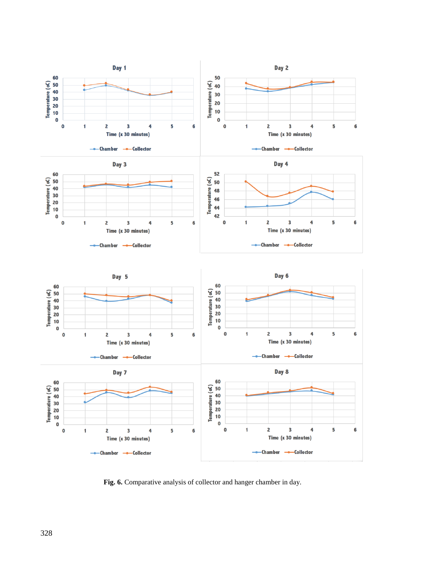

**Fig. 6.** Comparative analysis of collector and hanger chamber in day.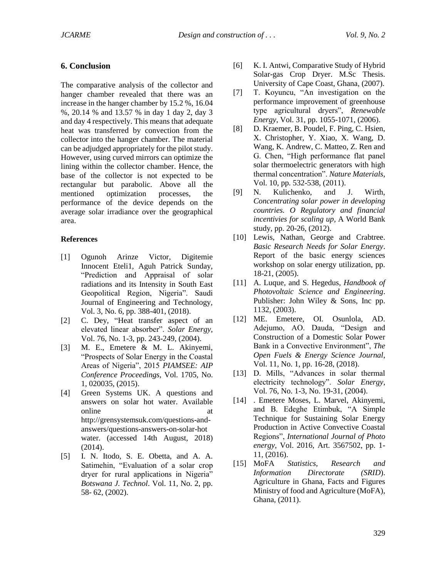# **6. Conclusion**

The comparative analysis of the collector and hanger chamber revealed that there was an increase in the hanger chamber by 15.2 %, 16.04 %, 20.14 % and 13.57 % in day 1 day 2, day 3 and day 4 respectively. This means that adequate heat was transferred by convection from the collector into the hanger chamber. The material can be adjudged appropriately for the pilot study. However, using curved mirrors can optimize the lining within the collector chamber. Hence, the base of the collector is not expected to be rectangular but parabolic. Above all the mentioned optimization processes, the performance of the device depends on the average solar irradiance over the geographical area.

#### **References**

- [1] Ogunoh Arinze Victor, Digitemie Innocent Eteli1, Aguh Patrick Sunday, "Prediction and Appraisal of solar radiations and its Intensity in South East Geopolitical Region, Nigeria". Saudi Journal of Engineering and Technology, Vol. 3, No. 6, pp. 388-401, (2018).
- [2] C. Dey, "Heat transfer aspect of an elevated linear absorber". *Solar Energy*, Vol. 76, No. 1-3, pp. 243-249, (2004).
- [3] M. E., Emetere & M. L. Akinyemi, "Prospects of Solar Energy in the Coastal Areas of Nigeria", 2015 *PIAMSEE: AIP Conference Proceedings*, Vol. 1705, No. 1, 020035, (2015).
- [4] Green Systems UK. A questions and answers on solar hot water. Available online at a state of  $\alpha$  at  $\alpha$ http://grensystemsuk.com/questions-andanswers/questions-answers-on-solar-hot water. (accessed 14th August, 2018) (2014).
- [5] I. N. Itodo, S. E. Obetta, and A. A. Satimehin, "Evaluation of a solar crop dryer for rural applications in Nigeria" *Botswana J. Technol*. Vol. 11, No. 2, pp. 58- 62, (2002).
- [6] K. I. Antwi, Comparative Study of Hybrid Solar-gas Crop Dryer. M.Sc Thesis. University of Cape Coast, Ghana, (2007).
- [7] T. Koyuncu, "An investigation on the performance improvement of greenhouse type agricultural dryers", *Renewable Energy*, Vol. 31, pp. 1055-1071, (2006).
- [8] D. Kraemer, B. Poudel, F. Ping, C. Hsien, X. Christopher, Y. Xiao, X. Wang, D. Wang, K. Andrew, C. Matteo, Z. Ren and G. Chen, "High performance flat panel solar thermoelectric generators with high thermal concentration". *Nature Materials*, Vol. 10, pp. 532-538, (2011).
- [9] N. Kulichenko, and J. Wirth, *Concentrating solar power in developing countries. O Regulatory and financial incentivies for scaling up*, A World Bank study, pp. 20-26, (2012).
- [10] Lewis, Nathan, George and Crabtree. *Basic Research Needs for Solar Energy*. Report of the basic energy sciences workshop on solar energy utilization, pp. 18-21, (2005).
- [11] A. Luque, and S. Hegedus, *Handbook of Photovoltaic Science and Engineering*. Publisher: John Wiley & Sons, Inc pp. 1132, (2003).
- [12] ME. Emetere, OI. Osunlola, AD. Adejumo, AO. Dauda, "Design and Construction of a Domestic Solar Power Bank in a Convective Environment", *The Open Fuels & Energy Science Journal*, Vol. 11, No. 1, pp. 16-28, (2018).
- [13] D. Mills, "Advances in solar thermal electricity technology". *Solar Energy*, Vol. 76, No. 1-3, No. 19-31, (2004).
- [14] . Emetere Moses, L. Marvel, Akinyemi, and B. Edeghe Etimbuk, "A Simple Technique for Sustaining Solar Energy Production in Active Convective Coastal Regions", *International Journal of Photo energy*, Vol. 2016, Art. 3567502, pp. 1- 11, (2016).
- [15] MoFA *Statistics, Research and Information Directorate (SRID*). Agriculture in Ghana, Facts and Figures Ministry of food and Agriculture (MoFA), Ghana, (2011).